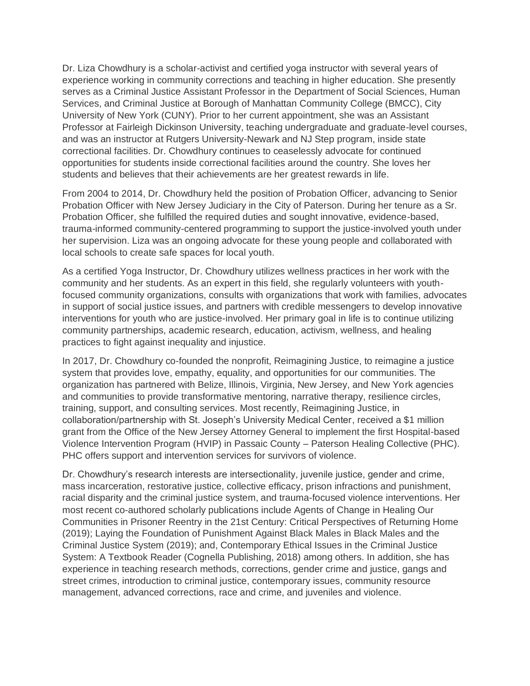Dr. Liza Chowdhury is a scholar-activist and certified yoga instructor with several years of experience working in community corrections and teaching in higher education. She presently serves as a Criminal Justice Assistant Professor in the Department of Social Sciences, Human Services, and Criminal Justice at Borough of Manhattan Community College (BMCC), City University of New York (CUNY). Prior to her current appointment, she was an Assistant Professor at Fairleigh Dickinson University, teaching undergraduate and graduate-level courses, and was an instructor at Rutgers University-Newark and NJ Step program, inside state correctional facilities. Dr. Chowdhury continues to ceaselessly advocate for continued opportunities for students inside correctional facilities around the country. She loves her students and believes that their achievements are her greatest rewards in life.

From 2004 to 2014, Dr. Chowdhury held the position of Probation Officer, advancing to Senior Probation Officer with New Jersey Judiciary in the City of Paterson. During her tenure as a Sr. Probation Officer, she fulfilled the required duties and sought innovative, evidence-based, trauma-informed community-centered programming to support the justice-involved youth under her supervision. Liza was an ongoing advocate for these young people and collaborated with local schools to create safe spaces for local youth.

As a certified Yoga Instructor, Dr. Chowdhury utilizes wellness practices in her work with the community and her students. As an expert in this field, she regularly volunteers with youthfocused community organizations, consults with organizations that work with families, advocates in support of social justice issues, and partners with credible messengers to develop innovative interventions for youth who are justice-involved. Her primary goal in life is to continue utilizing community partnerships, academic research, education, activism, wellness, and healing practices to fight against inequality and injustice.

In 2017, Dr. Chowdhury co-founded the nonprofit, Reimagining Justice, to reimagine a justice system that provides love, empathy, equality, and opportunities for our communities. The organization has partnered with Belize, Illinois, Virginia, New Jersey, and New York agencies and communities to provide transformative mentoring, narrative therapy, resilience circles, training, support, and consulting services. Most recently, Reimagining Justice, in collaboration/partnership with St. Joseph's University Medical Center, received a \$1 million grant from the Office of the New Jersey Attorney General to implement the first Hospital-based Violence Intervention Program (HVIP) in Passaic County – Paterson Healing Collective (PHC). PHC offers support and intervention services for survivors of violence.

Dr. Chowdhury's research interests are intersectionality, juvenile justice, gender and crime, mass incarceration, restorative justice, collective efficacy, prison infractions and punishment, racial disparity and the criminal justice system, and trauma-focused violence interventions. Her most recent co-authored scholarly publications include Agents of Change in Healing Our Communities in Prisoner Reentry in the 21st Century: Critical Perspectives of Returning Home (2019); Laying the Foundation of Punishment Against Black Males in Black Males and the Criminal Justice System (2019); and, Contemporary Ethical Issues in the Criminal Justice System: A Textbook Reader (Cognella Publishing, 2018) among others. In addition, she has experience in teaching research methods, corrections, gender crime and justice, gangs and street crimes, introduction to criminal justice, contemporary issues, community resource management, advanced corrections, race and crime, and juveniles and violence.